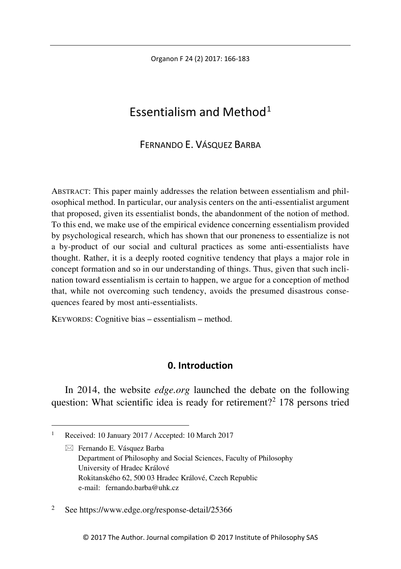Organon F 24 (2) 2017: 166-183

# Essentialism and Method $1$

# FERNANDO E. VÁSQUEZ BARBA

ABSTRACT: This paper mainly addresses the relation between essentialism and philosophical method. In particular, our analysis centers on the anti-essentialist argument that proposed, given its essentialist bonds, the abandonment of the notion of method. To this end, we make use of the empirical evidence concerning essentialism provided by psychological research, which has shown that our proneness to essentialize is not a by-product of our social and cultural practices as some anti-essentialists have thought. Rather, it is a deeply rooted cognitive tendency that plays a major role in concept formation and so in our understanding of things. Thus, given that such inclination toward essentialism is certain to happen, we argue for a conception of method that, while not overcoming such tendency, avoids the presumed disastrous consequences feared by most anti-essentialists.

KEYWORDS: Cognitive bias – essentialism – method.

# **0. Introduction**

In 2014, the website *edge.org* launched the debate on the following question: What scientific idea is ready for retirement?<sup>[2](#page-0-1)</sup> 178 persons tried

<span id="page-0-1"></span><sup>2</sup> See https://www.edge.org/response-detail/25366

<span id="page-0-0"></span> $\mathbf{1}$ Received: 10 January 2017 / Accepted: 10 March 2017

 $\boxtimes$  Fernando E. Vásquez Barba Department of Philosophy and Social Sciences, Faculty of Philosophy University of Hradec Králové Rokitanského 62, 500 03 Hradec Králové, Czech Republic e-mail: fernando.barba@uhk.cz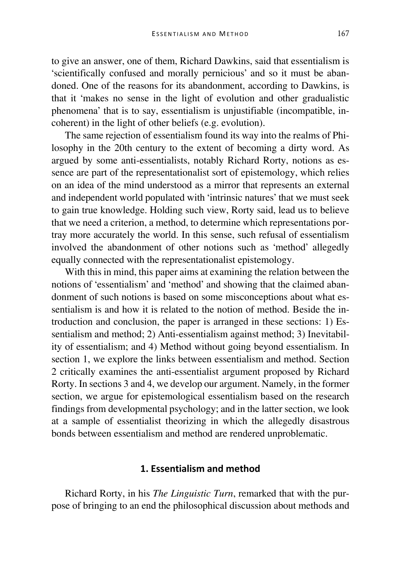to give an answer, one of them, Richard Dawkins, said that essentialism is 'scientifically confused and morally pernicious' and so it must be abandoned. One of the reasons for its abandonment, according to Dawkins, is that it 'makes no sense in the light of evolution and other gradualistic phenomena' that is to say, essentialism is unjustifiable (incompatible, incoherent) in the light of other beliefs (e.g. evolution).

The same rejection of essentialism found its way into the realms of Philosophy in the 20th century to the extent of becoming a dirty word. As argued by some anti-essentialists, notably Richard Rorty, notions as essence are part of the representationalist sort of epistemology, which relies on an idea of the mind understood as a mirror that represents an external and independent world populated with 'intrinsic natures' that we must seek to gain true knowledge. Holding such view, Rorty said, lead us to believe that we need a criterion, a method, to determine which representations portray more accurately the world. In this sense, such refusal of essentialism involved the abandonment of other notions such as 'method' allegedly equally connected with the representationalist epistemology.

With this in mind, this paper aims at examining the relation between the notions of 'essentialism' and 'method' and showing that the claimed abandonment of such notions is based on some misconceptions about what essentialism is and how it is related to the notion of method. Beside the introduction and conclusion, the paper is arranged in these sections: 1) Essentialism and method; 2) Anti-essentialism against method; 3) Inevitability of essentialism; and 4) Method without going beyond essentialism. In section 1, we explore the links between essentialism and method. Section 2 critically examines the anti-essentialist argument proposed by Richard Rorty. In sections 3 and 4, we develop our argument. Namely, in the former section, we argue for epistemological essentialism based on the research findings from developmental psychology; and in the latter section, we look at a sample of essentialist theorizing in which the allegedly disastrous bonds between essentialism and method are rendered unproblematic.

## **1. Essentialism and method**

Richard Rorty, in his *The Linguistic Turn*, remarked that with the purpose of bringing to an end the philosophical discussion about methods and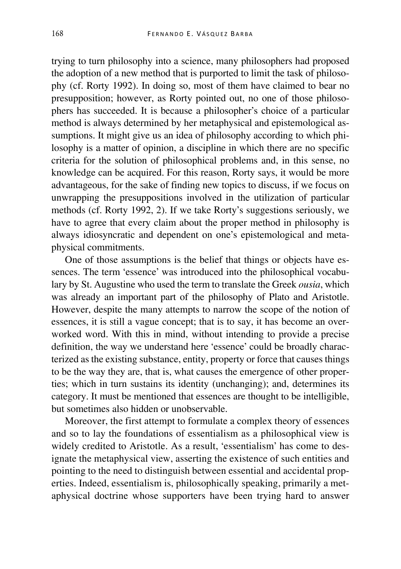trying to turn philosophy into a science, many philosophers had proposed the adoption of a new method that is purported to limit the task of philosophy (cf. Rorty 1992). In doing so, most of them have claimed to bear no presupposition; however, as Rorty pointed out, no one of those philosophers has succeeded. It is because a philosopher's choice of a particular method is always determined by her metaphysical and epistemological assumptions. It might give us an idea of philosophy according to which philosophy is a matter of opinion, a discipline in which there are no specific criteria for the solution of philosophical problems and, in this sense, no knowledge can be acquired. For this reason, Rorty says, it would be more advantageous, for the sake of finding new topics to discuss, if we focus on unwrapping the presuppositions involved in the utilization of particular methods (cf. Rorty 1992, 2). If we take Rorty's suggestions seriously, we have to agree that every claim about the proper method in philosophy is always idiosyncratic and dependent on one's epistemological and metaphysical commitments.

One of those assumptions is the belief that things or objects have essences. The term 'essence' was introduced into the philosophical vocabulary by St. Augustine who used the term to translate the Greek *ousia*, which was already an important part of the philosophy of Plato and Aristotle. However, despite the many attempts to narrow the scope of the notion of essences, it is still a vague concept; that is to say, it has become an overworked word. With this in mind, without intending to provide a precise definition, the way we understand here 'essence' could be broadly characterized as the existing substance, entity, property or force that causes things to be the way they are, that is, what causes the emergence of other properties; which in turn sustains its identity (unchanging); and, determines its category. It must be mentioned that essences are thought to be intelligible, but sometimes also hidden or unobservable.

Moreover, the first attempt to formulate a complex theory of essences and so to lay the foundations of essentialism as a philosophical view is widely credited to Aristotle. As a result, 'essentialism' has come to designate the metaphysical view, asserting the existence of such entities and pointing to the need to distinguish between essential and accidental properties. Indeed, essentialism is, philosophically speaking, primarily a metaphysical doctrine whose supporters have been trying hard to answer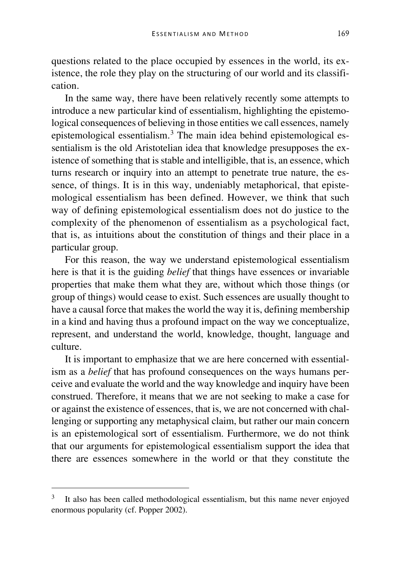questions related to the place occupied by essences in the world, its existence, the role they play on the structuring of our world and its classification.

In the same way, there have been relatively recently some attempts to introduce a new particular kind of essentialism, highlighting the epistemological consequences of believing in those entities we call essences, namely epistemological essentialism.[3](#page-3-0) The main idea behind epistemological essentialism is the old Aristotelian idea that knowledge presupposes the existence of something that is stable and intelligible, that is, an essence, which turns research or inquiry into an attempt to penetrate true nature, the essence, of things. It is in this way, undeniably metaphorical, that epistemological essentialism has been defined. However, we think that such way of defining epistemological essentialism does not do justice to the complexity of the phenomenon of essentialism as a psychological fact, that is, as intuitions about the constitution of things and their place in a particular group.

For this reason, the way we understand epistemological essentialism here is that it is the guiding *belief* that things have essences or invariable properties that make them what they are, without which those things (or group of things) would cease to exist. Such essences are usually thought to have a causal force that makes the world the way it is, defining membership in a kind and having thus a profound impact on the way we conceptualize, represent, and understand the world, knowledge, thought, language and culture.

It is important to emphasize that we are here concerned with essentialism as a *belief* that has profound consequences on the ways humans perceive and evaluate the world and the way knowledge and inquiry have been construed. Therefore, it means that we are not seeking to make a case for or against the existence of essences, that is, we are not concerned with challenging or supporting any metaphysical claim, but rather our main concern is an epistemological sort of essentialism. Furthermore, we do not think that our arguments for epistemological essentialism support the idea that there are essences somewhere in the world or that they constitute the

<span id="page-3-0"></span><sup>&</sup>lt;sup>3</sup> It also has been called methodological essentialism, but this name never enjoyed enormous popularity (cf. Popper 2002).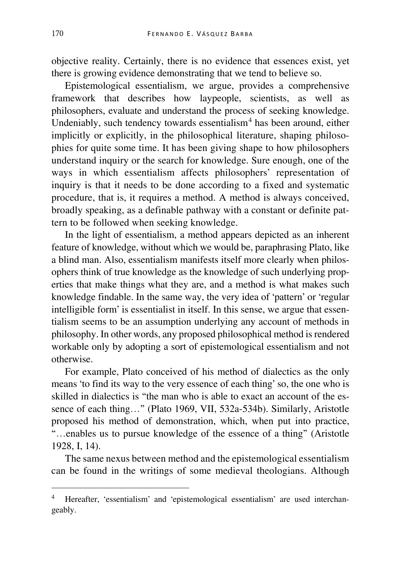objective reality. Certainly, there is no evidence that essences exist, yet there is growing evidence demonstrating that we tend to believe so.

Epistemological essentialism, we argue, provides a comprehensive framework that describes how laypeople, scientists, as well as philosophers, evaluate and understand the process of seeking knowledge. Undeniably, such tendency towards essentialism<sup>[4](#page-4-0)</sup> has been around, either implicitly or explicitly, in the philosophical literature, shaping philosophies for quite some time. It has been giving shape to how philosophers understand inquiry or the search for knowledge. Sure enough, one of the ways in which essentialism affects philosophers' representation of inquiry is that it needs to be done according to a fixed and systematic procedure, that is, it requires a method. A method is always conceived, broadly speaking, as a definable pathway with a constant or definite pattern to be followed when seeking knowledge.

In the light of essentialism, a method appears depicted as an inherent feature of knowledge, without which we would be, paraphrasing Plato, like a blind man. Also, essentialism manifests itself more clearly when philosophers think of true knowledge as the knowledge of such underlying properties that make things what they are, and a method is what makes such knowledge findable. In the same way, the very idea of 'pattern' or 'regular intelligible form' is essentialist in itself. In this sense, we argue that essentialism seems to be an assumption underlying any account of methods in philosophy. In other words, any proposed philosophical method is rendered workable only by adopting a sort of epistemological essentialism and not otherwise.

For example, Plato conceived of his method of dialectics as the only means 'to find its way to the very essence of each thing' so, the one who is skilled in dialectics is "the man who is able to exact an account of the essence of each thing…" (Plato 1969, VII, 532a-534b). Similarly, Aristotle proposed his method of demonstration, which, when put into practice, "…enables us to pursue knowledge of the essence of a thing" (Aristotle 1928, I, 14).

The same nexus between method and the epistemological essentialism can be found in the writings of some medieval theologians. Although

<span id="page-4-0"></span><sup>4</sup> Hereafter, 'essentialism' and 'epistemological essentialism' are used interchangeably.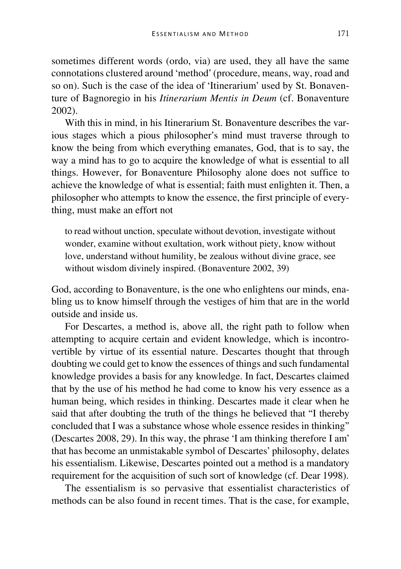sometimes different words (ordo, via) are used, they all have the same connotations clustered around 'method' (procedure, means, way, road and so on). Such is the case of the idea of 'Itinerarium' used by St. Bonaventure of Bagnoregio in his *Itinerarium Mentis in Deum* (cf. Bonaventure 2002).

With this in mind, in his Itinerarium St. Bonaventure describes the various stages which a pious philosopher's mind must traverse through to know the being from which everything emanates, God, that is to say, the way a mind has to go to acquire the knowledge of what is essential to all things. However, for Bonaventure Philosophy alone does not suffice to achieve the knowledge of what is essential; faith must enlighten it. Then, a philosopher who attempts to know the essence, the first principle of everything, must make an effort not

to read without unction, speculate without devotion, investigate without wonder, examine without exultation, work without piety, know without love, understand without humility, be zealous without divine grace, see without wisdom divinely inspired. (Bonaventure 2002, 39)

God, according to Bonaventure, is the one who enlightens our minds, enabling us to know himself through the vestiges of him that are in the world outside and inside us.

For Descartes, a method is, above all, the right path to follow when attempting to acquire certain and evident knowledge, which is incontrovertible by virtue of its essential nature. Descartes thought that through doubting we could get to know the essences of things and such fundamental knowledge provides a basis for any knowledge. In fact, Descartes claimed that by the use of his method he had come to know his very essence as a human being, which resides in thinking. Descartes made it clear when he said that after doubting the truth of the things he believed that "I thereby concluded that I was a substance whose whole essence resides in thinking" (Descartes 2008, 29). In this way, the phrase 'I am thinking therefore I am' that has become an unmistakable symbol of Descartes' philosophy, delates his essentialism. Likewise, Descartes pointed out a method is a mandatory requirement for the acquisition of such sort of knowledge (cf. Dear 1998).

The essentialism is so pervasive that essentialist characteristics of methods can be also found in recent times. That is the case, for example,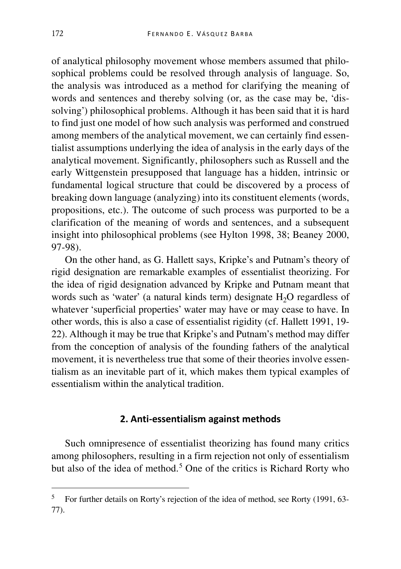of analytical philosophy movement whose members assumed that philosophical problems could be resolved through analysis of language. So, the analysis was introduced as a method for clarifying the meaning of words and sentences and thereby solving (or, as the case may be, 'dissolving') philosophical problems. Although it has been said that it is hard to find just one model of how such analysis was performed and construed among members of the analytical movement, we can certainly find essentialist assumptions underlying the idea of analysis in the early days of the analytical movement. Significantly, philosophers such as Russell and the early Wittgenstein presupposed that language has a hidden, intrinsic or fundamental logical structure that could be discovered by a process of breaking down language (analyzing) into its constituent elements (words, propositions, etc.). The outcome of such process was purported to be a clarification of the meaning of words and sentences, and a subsequent insight into philosophical problems (see Hylton 1998, 38; Beaney 2000, 97-98).

On the other hand, as G. Hallett says, Kripke's and Putnam's theory of rigid designation are remarkable examples of essentialist theorizing. For the idea of rigid designation advanced by Kripke and Putnam meant that words such as 'water' (a natural kinds term) designate  $H_2O$  regardless of whatever 'superficial properties' water may have or may cease to have. In other words, this is also a case of essentialist rigidity (cf. Hallett 1991, 19- 22). Although it may be true that Kripke's and Putnam's method may differ from the conception of analysis of the founding fathers of the analytical movement, it is nevertheless true that some of their theories involve essentialism as an inevitable part of it, which makes them typical examples of essentialism within the analytical tradition.

### **2. Anti-essentialism against methods**

Such omnipresence of essentialist theorizing has found many critics among philosophers, resulting in a firm rejection not only of essentialism but also of the idea of method.<sup>[5](#page-6-0)</sup> One of the critics is Richard Rorty who

<span id="page-6-0"></span><sup>5</sup> For further details on Rorty's rejection of the idea of method, see Rorty (1991, 63- 77).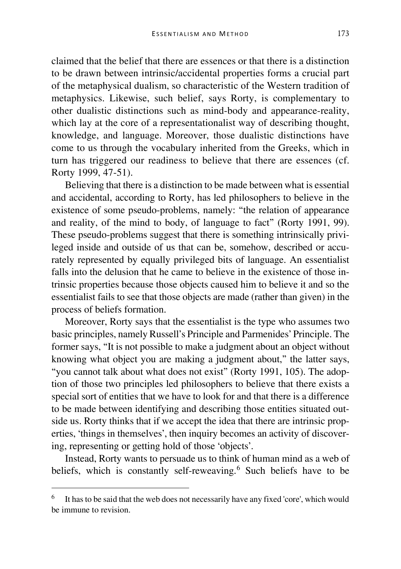claimed that the belief that there are essences or that there is a distinction to be drawn between intrinsic/accidental properties forms a crucial part of the metaphysical dualism, so characteristic of the Western tradition of metaphysics. Likewise, such belief, says Rorty, is complementary to other dualistic distinctions such as mind-body and appearance-reality, which lay at the core of a representationalist way of describing thought, knowledge, and language. Moreover, those dualistic distinctions have come to us through the vocabulary inherited from the Greeks, which in turn has triggered our readiness to believe that there are essences (cf. Rorty 1999, 47-51).

Believing that there is a distinction to be made between what is essential and accidental, according to Rorty, has led philosophers to believe in the existence of some pseudo-problems, namely: "the relation of appearance and reality, of the mind to body, of language to fact" (Rorty 1991, 99). These pseudo-problems suggest that there is something intrinsically privileged inside and outside of us that can be, somehow, described or accurately represented by equally privileged bits of language. An essentialist falls into the delusion that he came to believe in the existence of those intrinsic properties because those objects caused him to believe it and so the essentialist fails to see that those objects are made (rather than given) in the process of beliefs formation.

Moreover, Rorty says that the essentialist is the type who assumes two basic principles, namely Russell's Principle and Parmenides' Principle. The former says, "It is not possible to make a judgment about an object without knowing what object you are making a judgment about," the latter says, "you cannot talk about what does not exist" (Rorty 1991, 105). The adoption of those two principles led philosophers to believe that there exists a special sort of entities that we have to look for and that there is a difference to be made between identifying and describing those entities situated outside us. Rorty thinks that if we accept the idea that there are intrinsic properties, 'things in themselves', then inquiry becomes an activity of discovering, representing or getting hold of those 'objects'.

Instead, Rorty wants to persuade us to think of human mind as a web of beliefs, which is constantly self-reweaving.<sup>[6](#page-7-0)</sup> Such beliefs have to be

<span id="page-7-0"></span><sup>6</sup> It has to be said that the web does not necessarily have any fixed 'core', which would be immune to revision.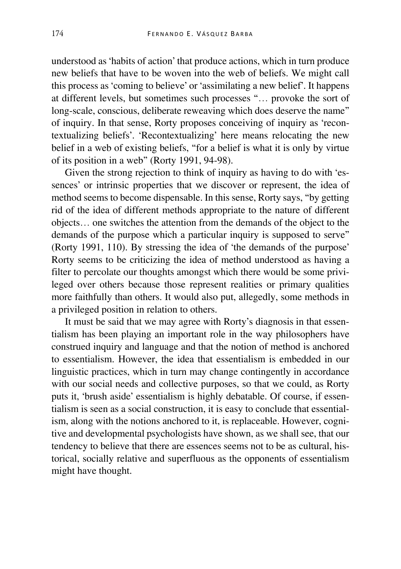understood as 'habits of action' that produce actions, which in turn produce new beliefs that have to be woven into the web of beliefs. We might call this process as 'coming to believe' or 'assimilating a new belief'. It happens at different levels, but sometimes such processes "… provoke the sort of long-scale, conscious, deliberate reweaving which does deserve the name" of inquiry. In that sense, Rorty proposes conceiving of inquiry as 'recontextualizing beliefs'. 'Recontextualizing' here means relocating the new belief in a web of existing beliefs, "for a belief is what it is only by virtue of its position in a web" (Rorty 1991, 94-98).

Given the strong rejection to think of inquiry as having to do with 'essences' or intrinsic properties that we discover or represent, the idea of method seems to become dispensable. In this sense, Rorty says, "by getting rid of the idea of different methods appropriate to the nature of different objects… one switches the attention from the demands of the object to the demands of the purpose which a particular inquiry is supposed to serve" (Rorty 1991, 110). By stressing the idea of 'the demands of the purpose' Rorty seems to be criticizing the idea of method understood as having a filter to percolate our thoughts amongst which there would be some privileged over others because those represent realities or primary qualities more faithfully than others. It would also put, allegedly, some methods in a privileged position in relation to others.

It must be said that we may agree with Rorty's diagnosis in that essentialism has been playing an important role in the way philosophers have construed inquiry and language and that the notion of method is anchored to essentialism. However, the idea that essentialism is embedded in our linguistic practices, which in turn may change contingently in accordance with our social needs and collective purposes, so that we could, as Rorty puts it, 'brush aside' essentialism is highly debatable. Of course, if essentialism is seen as a social construction, it is easy to conclude that essentialism, along with the notions anchored to it, is replaceable. However, cognitive and developmental psychologists have shown, as we shall see, that our tendency to believe that there are essences seems not to be as cultural, historical, socially relative and superfluous as the opponents of essentialism might have thought.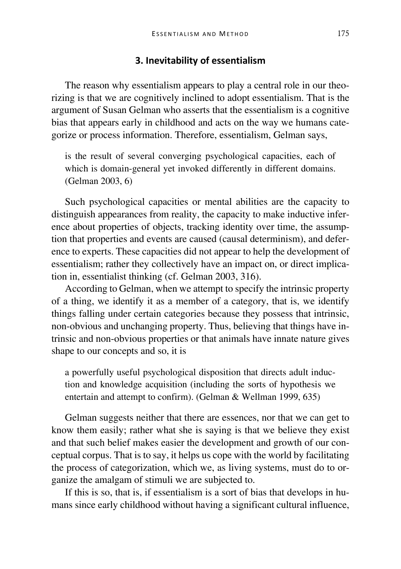#### **3. Inevitability of essentialism**

The reason why essentialism appears to play a central role in our theorizing is that we are cognitively inclined to adopt essentialism. That is the argument of Susan Gelman who asserts that the essentialism is a cognitive bias that appears early in childhood and acts on the way we humans categorize or process information. Therefore, essentialism, Gelman says,

is the result of several converging psychological capacities, each of which is domain-general yet invoked differently in different domains. (Gelman 2003, 6)

Such psychological capacities or mental abilities are the capacity to distinguish appearances from reality, the capacity to make inductive inference about properties of objects, tracking identity over time, the assumption that properties and events are caused (causal determinism), and deference to experts. These capacities did not appear to help the development of essentialism; rather they collectively have an impact on, or direct implication in, essentialist thinking (cf. Gelman 2003, 316).

According to Gelman, when we attempt to specify the intrinsic property of a thing, we identify it as a member of a category, that is, we identify things falling under certain categories because they possess that intrinsic, non-obvious and unchanging property. Thus, believing that things have intrinsic and non-obvious properties or that animals have innate nature gives shape to our concepts and so, it is

a powerfully useful psychological disposition that directs adult induction and knowledge acquisition (including the sorts of hypothesis we entertain and attempt to confirm). (Gelman & Wellman 1999, 635)

Gelman suggests neither that there are essences, nor that we can get to know them easily; rather what she is saying is that we believe they exist and that such belief makes easier the development and growth of our conceptual corpus. That is to say, it helps us cope with the world by facilitating the process of categorization, which we, as living systems, must do to organize the amalgam of stimuli we are subjected to.

If this is so, that is, if essentialism is a sort of bias that develops in humans since early childhood without having a significant cultural influence,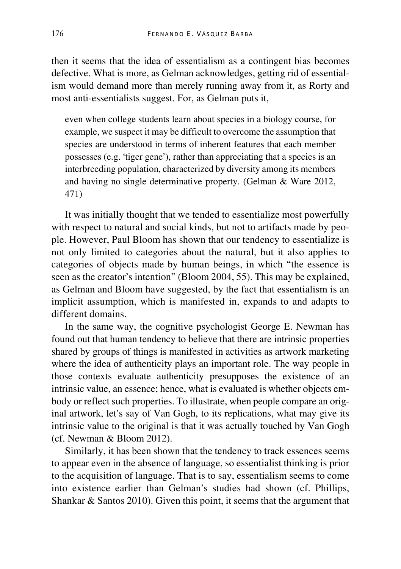then it seems that the idea of essentialism as a contingent bias becomes defective. What is more, as Gelman acknowledges, getting rid of essentialism would demand more than merely running away from it, as Rorty and most anti-essentialists suggest. For, as Gelman puts it,

even when college students learn about species in a biology course, for example, we suspect it may be difficult to overcome the assumption that species are understood in terms of inherent features that each member possesses (e.g. 'tiger gene'), rather than appreciating that a species is an interbreeding population, characterized by diversity among its members and having no single determinative property. (Gelman & Ware 2012, 471)

It was initially thought that we tended to essentialize most powerfully with respect to natural and social kinds, but not to artifacts made by people. However, Paul Bloom has shown that our tendency to essentialize is not only limited to categories about the natural, but it also applies to categories of objects made by human beings, in which "the essence is seen as the creator's intention" (Bloom 2004, 55). This may be explained, as Gelman and Bloom have suggested, by the fact that essentialism is an implicit assumption, which is manifested in, expands to and adapts to different domains.

In the same way, the cognitive psychologist George E. Newman has found out that human tendency to believe that there are intrinsic properties shared by groups of things is manifested in activities as artwork marketing where the idea of authenticity plays an important role. The way people in those contexts evaluate authenticity presupposes the existence of an intrinsic value, an essence; hence, what is evaluated is whether objects embody or reflect such properties. To illustrate, when people compare an original artwork, let's say of Van Gogh, to its replications, what may give its intrinsic value to the original is that it was actually touched by Van Gogh (cf. Newman & Bloom 2012).

Similarly, it has been shown that the tendency to track essences seems to appear even in the absence of language, so essentialist thinking is prior to the acquisition of language. That is to say, essentialism seems to come into existence earlier than Gelman's studies had shown (cf. Phillips, Shankar & Santos 2010). Given this point, it seems that the argument that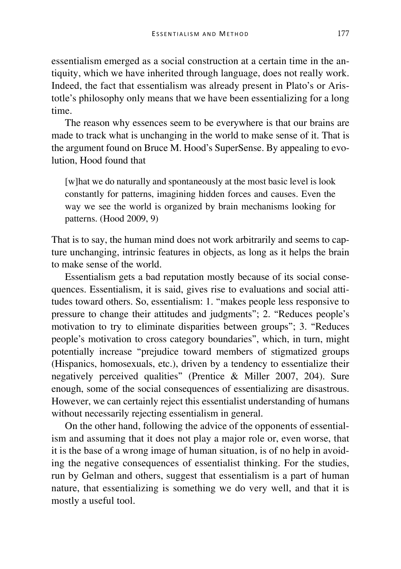essentialism emerged as a social construction at a certain time in the antiquity, which we have inherited through language, does not really work. Indeed, the fact that essentialism was already present in Plato's or Aristotle's philosophy only means that we have been essentializing for a long time.

The reason why essences seem to be everywhere is that our brains are made to track what is unchanging in the world to make sense of it. That is the argument found on Bruce M. Hood's SuperSense. By appealing to evolution, Hood found that

[w]hat we do naturally and spontaneously at the most basic level is look constantly for patterns, imagining hidden forces and causes. Even the way we see the world is organized by brain mechanisms looking for patterns. (Hood 2009, 9)

That is to say, the human mind does not work arbitrarily and seems to capture unchanging, intrinsic features in objects, as long as it helps the brain to make sense of the world.

Essentialism gets a bad reputation mostly because of its social consequences. Essentialism, it is said, gives rise to evaluations and social attitudes toward others. So, essentialism: 1. "makes people less responsive to pressure to change their attitudes and judgments"; 2. "Reduces people's motivation to try to eliminate disparities between groups"; 3. "Reduces people's motivation to cross category boundaries", which, in turn, might potentially increase "prejudice toward members of stigmatized groups (Hispanics, homosexuals, etc.), driven by a tendency to essentialize their negatively perceived qualities" (Prentice & Miller 2007, 204). Sure enough, some of the social consequences of essentializing are disastrous. However, we can certainly reject this essentialist understanding of humans without necessarily rejecting essentialism in general.

On the other hand, following the advice of the opponents of essentialism and assuming that it does not play a major role or, even worse, that it is the base of a wrong image of human situation, is of no help in avoiding the negative consequences of essentialist thinking. For the studies, run by Gelman and others, suggest that essentialism is a part of human nature, that essentializing is something we do very well, and that it is mostly a useful tool.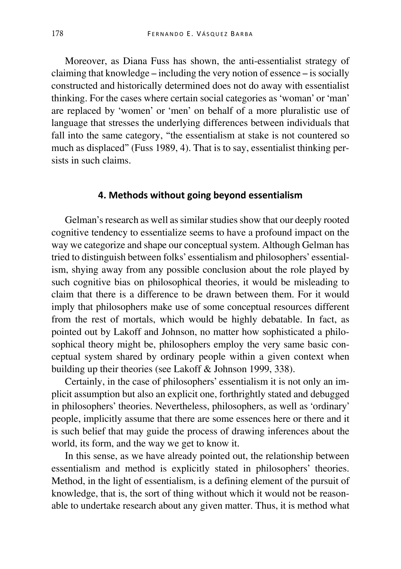Moreover, as Diana Fuss has shown, the anti-essentialist strategy of claiming that knowledge – including the very notion of essence – is socially constructed and historically determined does not do away with essentialist thinking. For the cases where certain social categories as 'woman' or 'man' are replaced by 'women' or 'men' on behalf of a more pluralistic use of language that stresses the underlying differences between individuals that fall into the same category, "the essentialism at stake is not countered so much as displaced" (Fuss 1989, 4). That is to say, essentialist thinking persists in such claims.

# **4. Methods without going beyond essentialism**

Gelman's research as well as similar studies show that our deeply rooted cognitive tendency to essentialize seems to have a profound impact on the way we categorize and shape our conceptual system. Although Gelman has tried to distinguish between folks' essentialism and philosophers' essentialism, shying away from any possible conclusion about the role played by such cognitive bias on philosophical theories, it would be misleading to claim that there is a difference to be drawn between them. For it would imply that philosophers make use of some conceptual resources different from the rest of mortals, which would be highly debatable. In fact, as pointed out by Lakoff and Johnson, no matter how sophisticated a philosophical theory might be, philosophers employ the very same basic conceptual system shared by ordinary people within a given context when building up their theories (see Lakoff & Johnson 1999, 338).

Certainly, in the case of philosophers' essentialism it is not only an implicit assumption but also an explicit one, forthrightly stated and debugged in philosophers' theories. Nevertheless, philosophers, as well as 'ordinary' people, implicitly assume that there are some essences here or there and it is such belief that may guide the process of drawing inferences about the world, its form, and the way we get to know it.

In this sense, as we have already pointed out, the relationship between essentialism and method is explicitly stated in philosophers' theories. Method, in the light of essentialism, is a defining element of the pursuit of knowledge, that is, the sort of thing without which it would not be reasonable to undertake research about any given matter. Thus, it is method what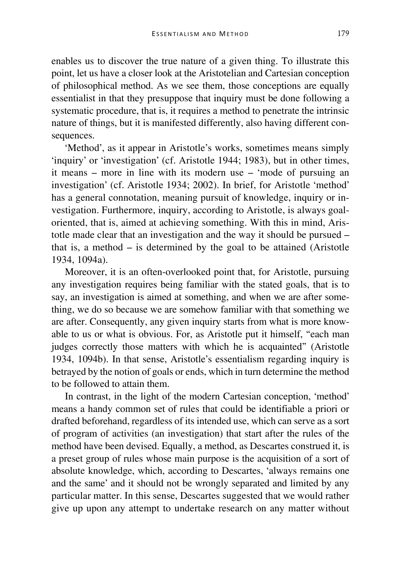enables us to discover the true nature of a given thing. To illustrate this point, let us have a closer look at the Aristotelian and Cartesian conception of philosophical method. As we see them, those conceptions are equally essentialist in that they presuppose that inquiry must be done following a systematic procedure, that is, it requires a method to penetrate the intrinsic nature of things, but it is manifested differently, also having different consequences.

'Method', as it appear in Aristotle's works, sometimes means simply 'inquiry' or 'investigation' (cf. Aristotle 1944; 1983), but in other times, it means – more in line with its modern use – 'mode of pursuing an investigation' (cf. Aristotle 1934; 2002). In brief, for Aristotle 'method' has a general connotation, meaning pursuit of knowledge, inquiry or investigation. Furthermore, inquiry, according to Aristotle, is always goaloriented, that is, aimed at achieving something. With this in mind, Aristotle made clear that an investigation and the way it should be pursued – that is, a method – is determined by the goal to be attained (Aristotle 1934, 1094a).

Moreover, it is an often-overlooked point that, for Aristotle, pursuing any investigation requires being familiar with the stated goals, that is to say, an investigation is aimed at something, and when we are after something, we do so because we are somehow familiar with that something we are after. Consequently, any given inquiry starts from what is more knowable to us or what is obvious. For, as Aristotle put it himself, "each man judges correctly those matters with which he is acquainted" (Aristotle 1934, 1094b). In that sense, Aristotle's essentialism regarding inquiry is betrayed by the notion of goals or ends, which in turn determine the method to be followed to attain them.

In contrast, in the light of the modern Cartesian conception, 'method' means a handy common set of rules that could be identifiable a priori or drafted beforehand, regardless of its intended use, which can serve as a sort of program of activities (an investigation) that start after the rules of the method have been devised. Equally, a method, as Descartes construed it, is a preset group of rules whose main purpose is the acquisition of a sort of absolute knowledge, which, according to Descartes, 'always remains one and the same' and it should not be wrongly separated and limited by any particular matter. In this sense, Descartes suggested that we would rather give up upon any attempt to undertake research on any matter without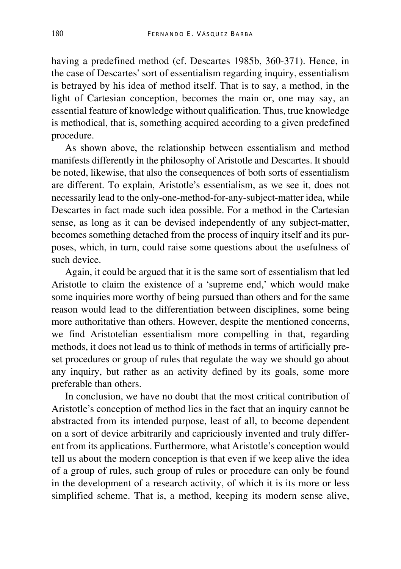having a predefined method (cf. Descartes 1985b, 360-371). Hence, in the case of Descartes' sort of essentialism regarding inquiry, essentialism is betrayed by his idea of method itself. That is to say, a method, in the light of Cartesian conception, becomes the main or, one may say, an essential feature of knowledge without qualification. Thus, true knowledge is methodical, that is, something acquired according to a given predefined procedure.

As shown above, the relationship between essentialism and method manifests differently in the philosophy of Aristotle and Descartes. It should be noted, likewise, that also the consequences of both sorts of essentialism are different. To explain, Aristotle's essentialism, as we see it, does not necessarily lead to the only-one-method-for-any-subject-matter idea, while Descartes in fact made such idea possible. For a method in the Cartesian sense, as long as it can be devised independently of any subject-matter, becomes something detached from the process of inquiry itself and its purposes, which, in turn, could raise some questions about the usefulness of such device.

Again, it could be argued that it is the same sort of essentialism that led Aristotle to claim the existence of a 'supreme end,' which would make some inquiries more worthy of being pursued than others and for the same reason would lead to the differentiation between disciplines, some being more authoritative than others. However, despite the mentioned concerns, we find Aristotelian essentialism more compelling in that, regarding methods, it does not lead us to think of methods in terms of artificially preset procedures or group of rules that regulate the way we should go about any inquiry, but rather as an activity defined by its goals, some more preferable than others.

In conclusion, we have no doubt that the most critical contribution of Aristotle's conception of method lies in the fact that an inquiry cannot be abstracted from its intended purpose, least of all, to become dependent on a sort of device arbitrarily and capriciously invented and truly different from its applications. Furthermore, what Aristotle's conception would tell us about the modern conception is that even if we keep alive the idea of a group of rules, such group of rules or procedure can only be found in the development of a research activity, of which it is its more or less simplified scheme. That is, a method, keeping its modern sense alive,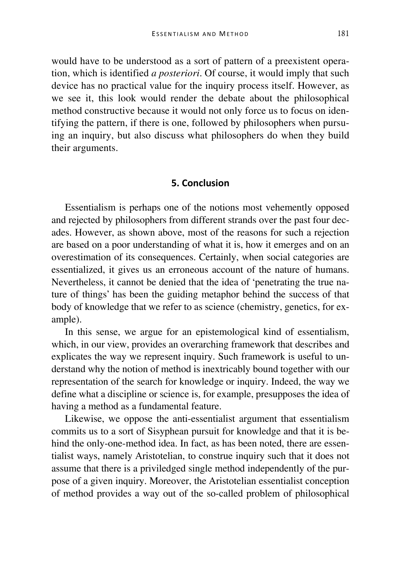would have to be understood as a sort of pattern of a preexistent operation, which is identified *a posteriori*. Of course, it would imply that such device has no practical value for the inquiry process itself. However, as we see it, this look would render the debate about the philosophical method constructive because it would not only force us to focus on identifying the pattern, if there is one, followed by philosophers when pursuing an inquiry, but also discuss what philosophers do when they build their arguments.

#### **5. Conclusion**

Essentialism is perhaps one of the notions most vehemently opposed and rejected by philosophers from different strands over the past four decades. However, as shown above, most of the reasons for such a rejection are based on a poor understanding of what it is, how it emerges and on an overestimation of its consequences. Certainly, when social categories are essentialized, it gives us an erroneous account of the nature of humans. Nevertheless, it cannot be denied that the idea of 'penetrating the true nature of things' has been the guiding metaphor behind the success of that body of knowledge that we refer to as science (chemistry, genetics, for example).

In this sense, we argue for an epistemological kind of essentialism, which, in our view, provides an overarching framework that describes and explicates the way we represent inquiry. Such framework is useful to understand why the notion of method is inextricably bound together with our representation of the search for knowledge or inquiry. Indeed, the way we define what a discipline or science is, for example, presupposes the idea of having a method as a fundamental feature.

Likewise, we oppose the anti-essentialist argument that essentialism commits us to a sort of Sisyphean pursuit for knowledge and that it is behind the only-one-method idea. In fact, as has been noted, there are essentialist ways, namely Aristotelian, to construe inquiry such that it does not assume that there is a priviledged single method independently of the purpose of a given inquiry. Moreover, the Aristotelian essentialist conception of method provides a way out of the so-called problem of philosophical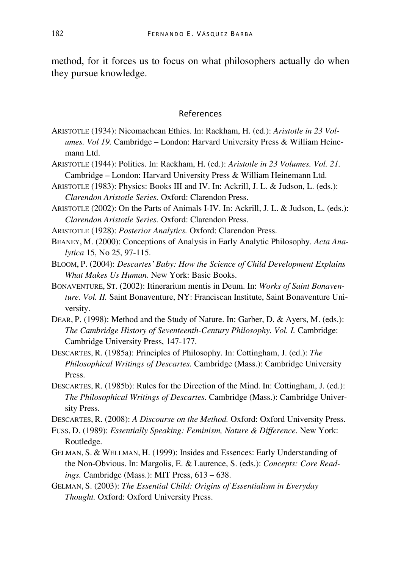method, for it forces us to focus on what philosophers actually do when they pursue knowledge.

#### References

- ARISTOTLE (1934): Nicomachean Ethics. In: Rackham, H. (ed.): *Aristotle in 23 Volumes. Vol 19.* Cambridge – London: Harvard University Press & William Heinemann Ltd.
- ARISTOTLE (1944): Politics. In: Rackham, H. (ed.): *Aristotle in 23 Volumes. Vol. 21.* Cambridge – London: Harvard University Press & William Heinemann Ltd.
- ARISTOTLE (1983): Physics: Books III and IV. In: Ackrill, J. L. & Judson, L. (eds.): *Clarendon Aristotle Series.* Oxford: Clarendon Press.
- ARISTOTLE (2002): On the Parts of Animals I-IV. In: Ackrill, J. L. & Judson, L. (eds.): *Clarendon Aristotle Series.* Oxford: Clarendon Press.
- ARISTOTLE (1928): *Posterior Analytics.* Oxford: Clarendon Press.
- BEANEY, M. (2000): Conceptions of Analysis in Early Analytic Philosophy. *Acta Analytica* 15, No 25, 97-115.
- BLOOM, P. (2004): *Descartes' Baby: How the Science of Child Development Explains What Makes Us Human.* New York: Basic Books.
- BONAVENTURE, ST. (2002): Itinerarium mentis in Deum. In: *Works of Saint Bonaventure. Vol. II.* Saint Bonaventure, NY: Franciscan Institute, Saint Bonaventure University.
- DEAR, P. (1998): Method and the Study of Nature. In: Garber, D. & Ayers, M. (eds.): *The Cambridge History of Seventeenth-Century Philosophy. Vol. I.* Cambridge: Cambridge University Press, 147-177.
- DESCARTES, R. (1985a): Principles of Philosophy. In: Cottingham, J. (ed.): *The Philosophical Writings of Descartes.* Cambridge (Mass.): Cambridge University Press.
- DESCARTES, R. (1985b): Rules for the Direction of the Mind. In: Cottingham, J. (ed.): *The Philosophical Writings of Descartes.* Cambridge (Mass.): Cambridge University Press.

DESCARTES, R. (2008): *A Discourse on the Method.* Oxford: Oxford University Press.

- FUSS, D. (1989): *Essentially Speaking: Feminism, Nature & Difference.* New York: Routledge.
- GELMAN, S. & WELLMAN, H. (1999): Insides and Essences: Early Understanding of the Non-Obvious. In: Margolis, E. & Laurence, S. (eds.): *Concepts: Core Readings.* Cambridge (Mass.): MIT Press, 613 – 638.
- GELMAN, S. (2003): *The Essential Child: Origins of Essentialism in Everyday Thought.* Oxford: Oxford University Press.